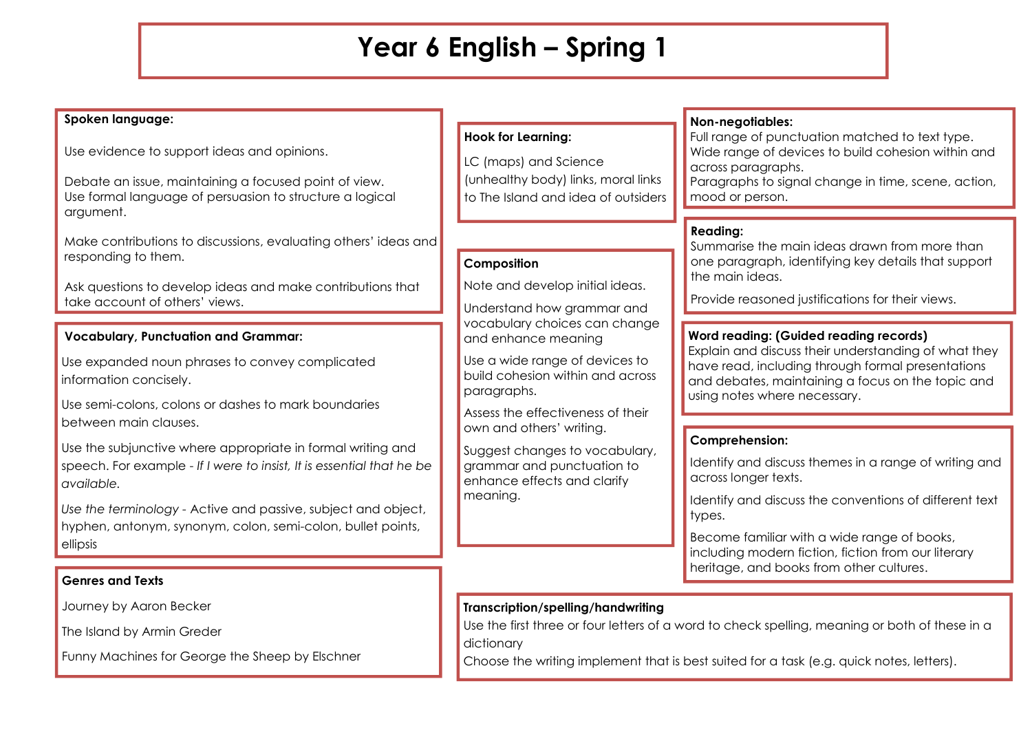## **Year 6 English – Spring 1**

| Spoken language:                                                                                                                                                                       |                                                                                                                                                                                                                                                                                                                                                                                                       | Non-negotiables:                                                                                                                                                                                                                                |
|----------------------------------------------------------------------------------------------------------------------------------------------------------------------------------------|-------------------------------------------------------------------------------------------------------------------------------------------------------------------------------------------------------------------------------------------------------------------------------------------------------------------------------------------------------------------------------------------------------|-------------------------------------------------------------------------------------------------------------------------------------------------------------------------------------------------------------------------------------------------|
| Use evidence to support ideas and opinions.<br>Debate an issue, maintaining a focused point of view.<br>Use formal language of persuasion to structure a logical<br>argument.          | <b>Hook for Learning:</b><br>LC (maps) and Science<br>(unhealthy body) links, moral links<br>to The Island and idea of outsiders                                                                                                                                                                                                                                                                      | Full range of punctuation matched to text type.<br>Wide range of devices to build cohesion within and<br>across paragraphs.<br>Paragraphs to signal change in time, scene, action,<br>mood or person.                                           |
| Make contributions to discussions, evaluating others' ideas and<br>responding to them.<br>Ask questions to develop ideas and make contributions that<br>take account of others' views. | Composition<br>Note and develop initial ideas.<br>Understand how grammar and<br>vocabulary choices can change<br>and enhance meaning<br>Use a wide range of devices to<br>build cohesion within and across<br>paragraphs.<br>Assess the effectiveness of their<br>own and others' writing.<br>Suggest changes to vocabulary,<br>grammar and punctuation to<br>enhance effects and clarify<br>meaning. | <b>Reading:</b><br>Summarise the main ideas drawn from more than<br>one paragraph, identifying key details that support<br>the main ideas.<br>Provide reasoned justifications for their views.                                                  |
| <b>Vocabulary, Punctuation and Grammar:</b><br>Use expanded noun phrases to convey complicated<br>information concisely.<br>Use semi-colons, colons or dashes to mark boundaries       |                                                                                                                                                                                                                                                                                                                                                                                                       | <b>Word reading: (Guided reading records)</b><br>Explain and discuss their understanding of what they<br>have read, including through formal presentations<br>and debates, maintaining a focus on the topic and<br>using notes where necessary. |
| between main clauses.<br>Use the subjunctive where appropriate in formal writing and<br>speech. For example - If I were to insist, It is essential that he be<br>available.            |                                                                                                                                                                                                                                                                                                                                                                                                       | <b>Comprehension:</b><br>Identify and discuss themes in a range of writing and<br>across longer texts.<br>Identify and discuss the conventions of different text                                                                                |
| Use the terminology - Active and passive, subject and object,<br>hyphen, antonym, synonym, colon, semi-colon, bullet points,<br>ellipsis<br><b>Genres and Texts</b>                    |                                                                                                                                                                                                                                                                                                                                                                                                       | types.<br>Become familiar with a wide range of books,<br>including modern fiction, fiction from our literary<br>heritage, and books from other cultures.                                                                                        |
| Journey by Aaron Becker                                                                                                                                                                | Transcription/spelling/handwriting                                                                                                                                                                                                                                                                                                                                                                    |                                                                                                                                                                                                                                                 |
| The Island by Armin Greder                                                                                                                                                             | dictionary                                                                                                                                                                                                                                                                                                                                                                                            | Use the first three or four letters of a word to check spelling, meaning or both of these in a                                                                                                                                                  |

Funny Machines for George the Sheep by Elschner

Choose the writing implement that is best suited for a task (e.g. quick notes, letters).